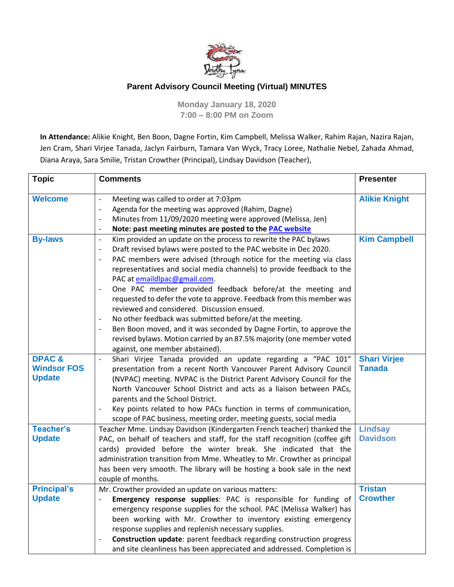

## **Parent Advisory Council Meeting (Virtual) MINUTES**

**Monday January 18, 2020 7:00 – 8:00 PM on Zoom**

**In Attendance:** Alikie Knight, Ben Boon, Dagne Fortin, Kim Campbell, Melissa Walker, Rahim Rajan, Nazira Rajan, Jen Cram, Shari Virjee Tanada, Jaclyn Fairburn, Tamara Van Wyck, Tracy Loree, Nathalie Nebel, Zahada Ahmad, Diana Araya, Sara Smilie, Tristan Crowther (Principal), Lindsay Davidson (Teacher),

| <b>Topic</b>                                            | <b>Comments</b>                                                                                                                                                                                                                                                                                                                                                                                                                                                                                                                                                                                                                                                                                                                                                                                                                                                                                                    | <b>Presenter</b>                     |
|---------------------------------------------------------|--------------------------------------------------------------------------------------------------------------------------------------------------------------------------------------------------------------------------------------------------------------------------------------------------------------------------------------------------------------------------------------------------------------------------------------------------------------------------------------------------------------------------------------------------------------------------------------------------------------------------------------------------------------------------------------------------------------------------------------------------------------------------------------------------------------------------------------------------------------------------------------------------------------------|--------------------------------------|
| <b>Welcome</b>                                          | Meeting was called to order at 7:03pm<br>$\blacksquare$<br>Agenda for the meeting was approved (Rahim, Dagne)<br>$\qquad \qquad -$<br>Minutes from 11/09/2020 meeting were approved (Melissa, Jen)<br>$\overline{\phantom{a}}$<br>Note: past meeting minutes are posted to the PAC website<br>$\overline{a}$                                                                                                                                                                                                                                                                                                                                                                                                                                                                                                                                                                                                       | <b>Alikie Knight</b>                 |
| <b>By-laws</b>                                          | Kim provided an update on the process to rewrite the PAC bylaws<br>$\frac{1}{2}$<br>Draft revised bylaws were posted to the PAC website in Dec 2020.<br>$\overline{\phantom{a}}$<br>PAC members were advised (through notice for the meeting via class<br>$\overline{\phantom{a}}$<br>representatives and social media channels) to provide feedback to the<br>PAC at emaildlpac@gmail.com.<br>One PAC member provided feedback before/at the meeting and<br>$\overline{\phantom{a}}$<br>requested to defer the vote to approve. Feedback from this member was<br>reviewed and considered. Discussion ensued.<br>No other feedback was submitted before/at the meeting.<br>$\overline{\phantom{a}}$<br>Ben Boon moved, and it was seconded by Dagne Fortin, to approve the<br>$\overline{\phantom{a}}$<br>revised bylaws. Motion carried by an 87.5% majority (one member voted<br>against, one member abstained). | <b>Kim Campbell</b>                  |
| <b>DPAC&amp;</b><br><b>Windsor FOS</b><br><b>Update</b> | Shari Virjee Tanada provided an update regarding a "PAC 101"<br>$\blacksquare$<br>presentation from a recent North Vancouver Parent Advisory Council<br>(NVPAC) meeting. NVPAC is the District Parent Advisory Council for the<br>North Vancouver School District and acts as a liaison between PACs,<br>parents and the School District.<br>Key points related to how PACs function in terms of communication,<br>$\blacksquare$<br>scope of PAC business, meeting order, meeting guests, social media                                                                                                                                                                                                                                                                                                                                                                                                            | <b>Shari Virjee</b><br><b>Tanada</b> |
| <b>Teacher's</b><br><b>Update</b>                       | Teacher Mme. Lindsay Davidson (Kindergarten French teacher) thanked the<br>PAC, on behalf of teachers and staff, for the staff recognition (coffee gift<br>cards) provided before the winter break. She indicated that the<br>administration transition from Mme. Wheatley to Mr. Crowther as principal<br>has been very smooth. The library will be hosting a book sale in the next<br>couple of months.                                                                                                                                                                                                                                                                                                                                                                                                                                                                                                          | <b>Lindsay</b><br><b>Davidson</b>    |
| <b>Principal's</b><br><b>Update</b>                     | Mr. Crowther provided an update on various matters:<br>Emergency response supplies: PAC is responsible for funding of<br>emergency response supplies for the school. PAC (Melissa Walker) has<br>been working with Mr. Crowther to inventory existing emergency<br>response supplies and replenish necessary supplies.<br>Construction update: parent feedback regarding construction progress<br>$\overline{\phantom{a}}$<br>and site cleanliness has been appreciated and addressed. Completion is                                                                                                                                                                                                                                                                                                                                                                                                               | <b>Tristan</b><br><b>Crowther</b>    |